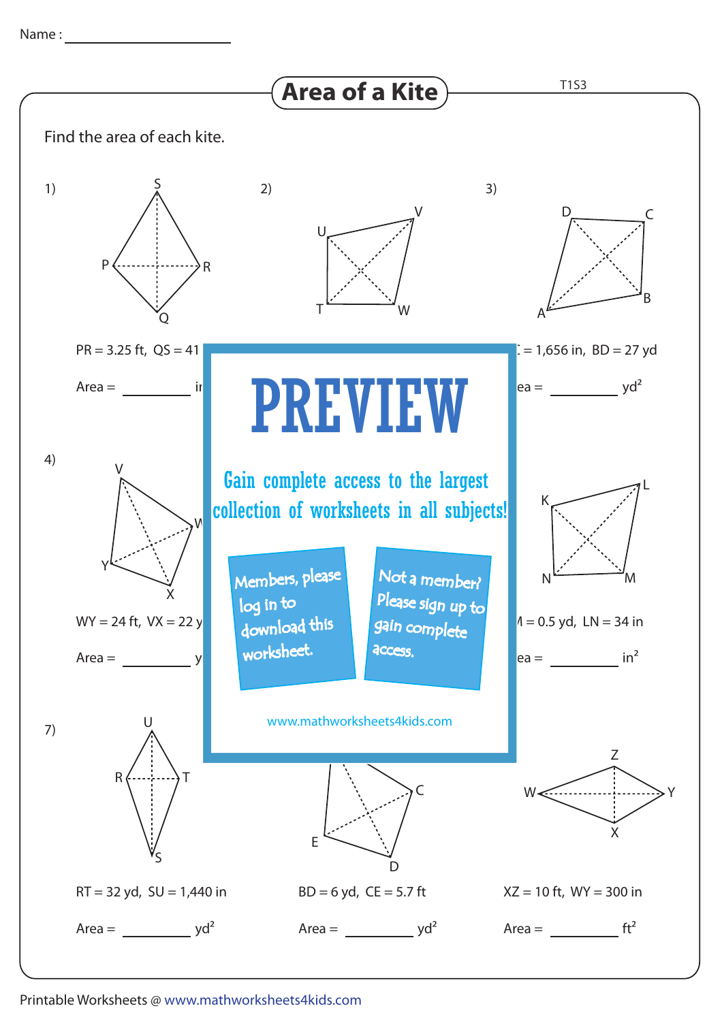